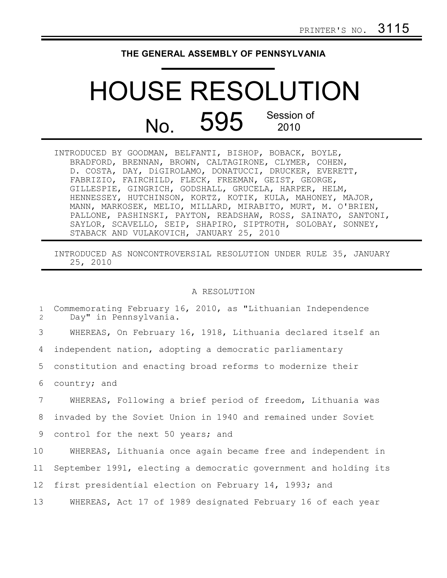## **THE GENERAL ASSEMBLY OF PENNSYLVANIA**

## HOUSE RESOLUTION No. 595 Session of 2010

| INTRODUCED BY GOODMAN, BELFANTI, BISHOP, BOBACK, BOYLE,       |
|---------------------------------------------------------------|
| BRADFORD, BRENNAN, BROWN, CALTAGIRONE, CLYMER, COHEN,         |
| D. COSTA, DAY, DiGIROLAMO, DONATUCCI, DRUCKER, EVERETT,       |
| FABRIZIO, FAIRCHILD, FLECK, FREEMAN, GEIST, GEORGE,           |
| GILLESPIE, GINGRICH, GODSHALL, GRUCELA, HARPER, HELM,         |
| HENNESSEY, HUTCHINSON, KORTZ, KOTIK, KULA, MAHONEY, MAJOR,    |
| MANN, MARKOSEK, MELIO, MILLARD, MIRABITO, MURT, M. O'BRIEN,   |
| PALLONE, PASHINSKI, PAYTON, READSHAW, ROSS, SAINATO, SANTONI, |
| SAYLOR, SCAVELLO, SEIP, SHAPIRO, SIPTROTH, SOLOBAY, SONNEY,   |
| STABACK AND VULAKOVICH, JANUARY 25, 2010                      |

INTRODUCED AS NONCONTROVERSIAL RESOLUTION UNDER RULE 35, JANUARY 25, 2010

## A RESOLUTION

| $\mathbf{1}$<br>2 | Commemorating February 16, 2010, as "Lithuanian Independence<br>Day" in Pennsylvania. |
|-------------------|---------------------------------------------------------------------------------------|
| 3                 | WHEREAS, On February 16, 1918, Lithuania declared itself an                           |
| 4                 | independent nation, adopting a democratic parliamentary                               |
| 5                 | constitution and enacting broad reforms to modernize their                            |
| 6                 | country; and                                                                          |
| 7                 | WHEREAS, Following a brief period of freedom, Lithuania was                           |
| 8                 | invaded by the Soviet Union in 1940 and remained under Soviet                         |
| 9                 | control for the next 50 years; and                                                    |
| 10                | WHEREAS, Lithuania once again became free and independent in                          |
| 11                | September 1991, electing a democratic government and holding its                      |
| 12 <sup>2</sup>   | first presidential election on February 14, 1993; and                                 |
|                   |                                                                                       |

WHEREAS, Act 17 of 1989 designated February 16 of each year

13